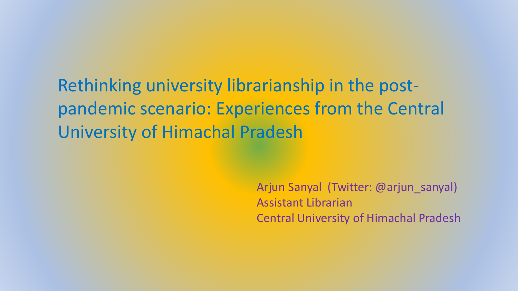Rethinking university librarianship in the postpandemic scenario: Experiences from the Central University of Himachal Pradesh

> Arjun Sanyal (Twitter: @arjun\_sanyal) Assistant Librarian Central University of Himachal Pradesh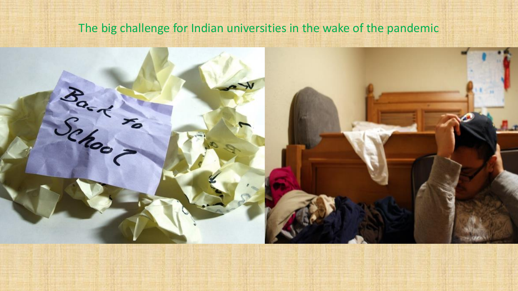#### The big challenge for Indian universities in the wake of the pandemic

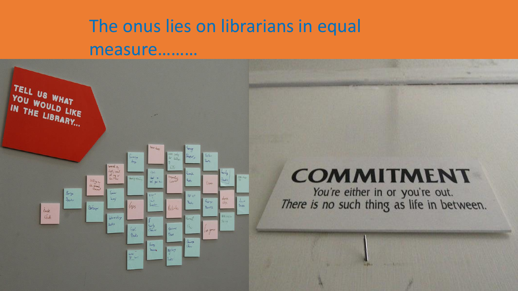## The onus lies on librarians in equal measure.........



## **COMMITMENT**

You're either in or you're out.<br>There is no such thing as life in between.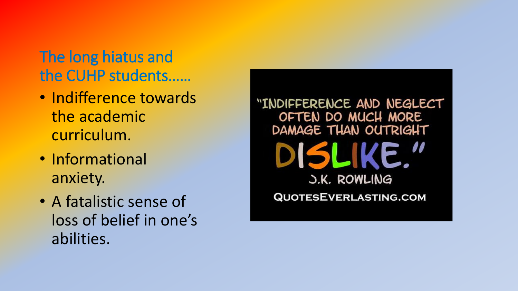#### The long hiatus and the CUHP students……

- Indifference towards the academic curriculum.
- Informational anxiety.
- A fatalistic sense of loss of belief in one's abilities.

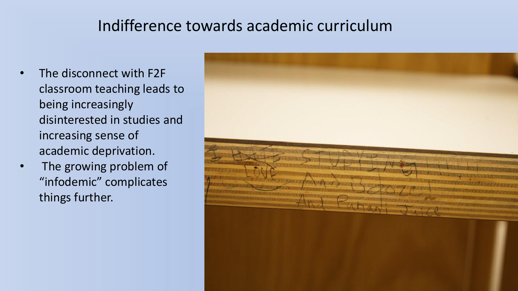#### Indifference towards academic curriculum

- The disconnect with F2F classroom teaching leads to being increasingly disinterested in studies and increasing sense of academic deprivation.
- The growing problem of "infodemic" complicates things further.

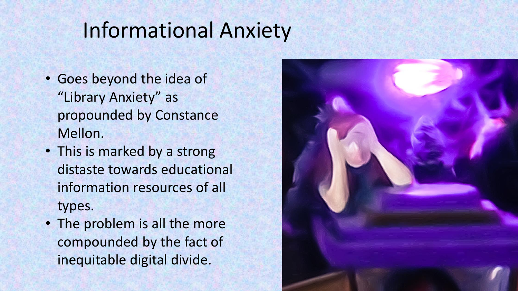## Informational Anxiety

- Goes beyond the idea of "Library Anxiety" as propounded by Constance Mellon.
- This is marked by a strong distaste towards educational information resources of all types.
- The problem is all the more compounded by the fact of inequitable digital divide.

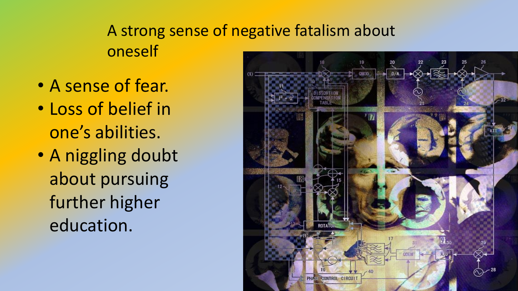#### A strong sense of negative fatalism about oneself

- A sense of fear.
- Loss of belief in one's abilities.
- A niggling doubt about pursuing further higher education.

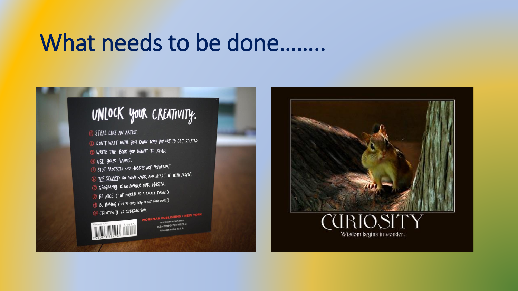## What needs to be done........



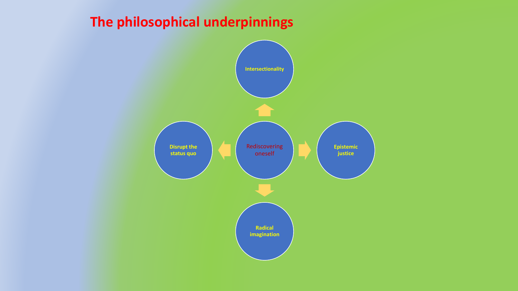#### **The philosophical underpinnings**

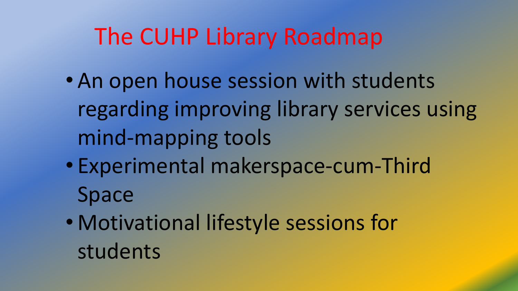# The CUHP Library Roadmap

- An open house session with students regarding improving library services using mind-mapping tools
- Experimental makerspace-cum-Third Space
- Motivational lifestyle sessions for students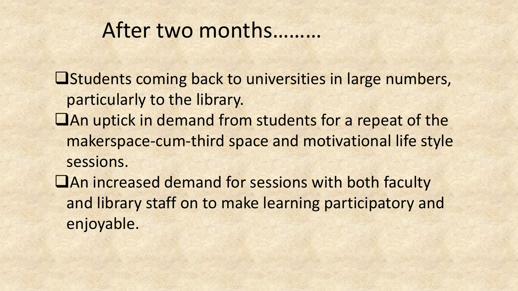### After two months………

❑Students coming back to universities in large numbers, particularly to the library. ❑An uptick in demand from students for a repeat of the makerspace-cum-third space and motivational life style sessions. ❑An increased demand for sessions with both faculty and library staff on to make learning participatory and enjoyable.